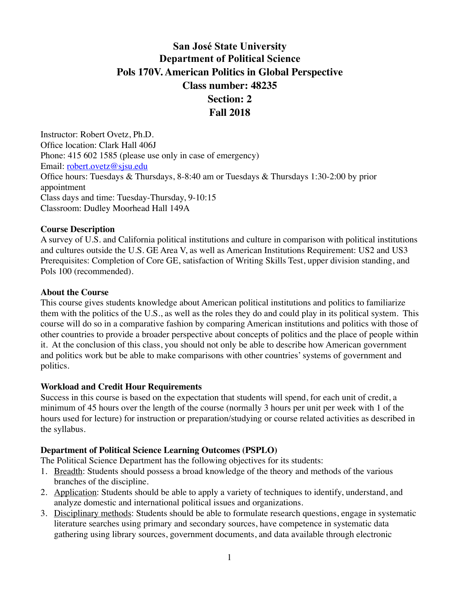# **San José State University Department of Political Science Pols 170V. American Politics in Global Perspective Class number: 48235 Section: 2 Fall 2018**

Instructor: Robert Ovetz, Ph.D. Office location: Clark Hall 406J Phone: 415 602 1585 (please use only in case of emergency) Email: [robert.ovetz@sjsu.edu](mailto:robert.ovetz@sjsu.edu) Office hours: Tuesdays & Thursdays, 8-8:40 am or Tuesdays & Thursdays 1:30-2:00 by prior appointment Class days and time: Tuesday-Thursday, 9-10:15 Classroom: Dudley Moorhead Hall 149A

### **Course Description**

A survey of U.S. and California political institutions and culture in comparison with political institutions and cultures outside the U.S. GE Area V, as well as American Institutions Requirement: US2 and US3 Prerequisites: Completion of Core GE, satisfaction of Writing Skills Test, upper division standing, and Pols 100 (recommended).

### **About the Course**

This course gives students knowledge about American political institutions and politics to familiarize them with the politics of the U.S., as well as the roles they do and could play in its political system. This course will do so in a comparative fashion by comparing American institutions and politics with those of other countries to provide a broader perspective about concepts of politics and the place of people within it. At the conclusion of this class, you should not only be able to describe how American government and politics work but be able to make comparisons with other countries' systems of government and politics.

### **Workload and Credit Hour Requirements**

Success in this course is based on the expectation that students will spend, for each unit of credit, a minimum of 45 hours over the length of the course (normally 3 hours per unit per week with 1 of the hours used for lecture) for instruction or preparation/studying or course related activities as described in the syllabus.

### **Department of Political Science Learning Outcomes (PSPLO)**

The Political Science Department has the following objectives for its students:

- 1. Breadth: Students should possess a broad knowledge of the theory and methods of the various branches of the discipline.
- 2. Application: Students should be able to apply a variety of techniques to identify, understand, and analyze domestic and international political issues and organizations.
- 3. Disciplinary methods: Students should be able to formulate research questions, engage in systematic literature searches using primary and secondary sources, have competence in systematic data gathering using library sources, government documents, and data available through electronic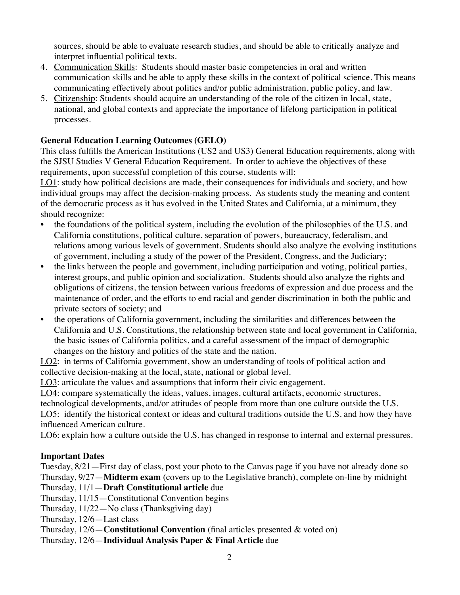sources, should be able to evaluate research studies, and should be able to critically analyze and interpret influential political texts.

- 4. Communication Skills: Students should master basic competencies in oral and written communication skills and be able to apply these skills in the context of political science. This means communicating effectively about politics and/or public administration, public policy, and law.
- 5. Citizenship: Students should acquire an understanding of the role of the citizen in local, state, national, and global contexts and appreciate the importance of lifelong participation in political processes.

# **General Education Learning Outcomes (GELO)**

This class fulfills the American Institutions (US2 and US3) General Education requirements, along with the SJSU Studies V General Education Requirement. In order to achieve the objectives of these requirements, upon successful completion of this course, students will:

LO1: study how political decisions are made, their consequences for individuals and society, and how individual groups may affect the decision-making process. As students study the meaning and content of the democratic process as it has evolved in the United States and California, at a minimum, they should recognize:

- the foundations of the political system, including the evolution of the philosophies of the U.S. and California constitutions, political culture, separation of powers, bureaucracy, federalism, and relations among various levels of government. Students should also analyze the evolving institutions of government, including a study of the power of the President, Congress, and the Judiciary;
- the links between the people and government, including participation and voting, political parties, interest groups, and public opinion and socialization. Students should also analyze the rights and obligations of citizens, the tension between various freedoms of expression and due process and the maintenance of order, and the efforts to end racial and gender discrimination in both the public and private sectors of society; and
- the operations of California government, including the similarities and differences between the California and U.S. Constitutions, the relationship between state and local government in California, the basic issues of California politics, and a careful assessment of the impact of demographic changes on the history and politics of the state and the nation.

LO2: in terms of California government, show an understanding of tools of political action and collective decision-making at the local, state, national or global level.

LO3: articulate the values and assumptions that inform their civic engagement.

LO4: compare systematically the ideas, values, images, cultural artifacts, economic structures,

technological developments, and/or attitudes of people from more than one culture outside the U.S.

LO5: identify the historical context or ideas and cultural traditions outside the U.S. and how they have influenced American culture.

LO6: explain how a culture outside the U.S. has changed in response to internal and external pressures.

### **Important Dates**

Tuesday, 8/21—First day of class, post your photo to the Canvas page if you have not already done so Thursday, 9/27—**Midterm exam** (covers up to the Legislative branch), complete on-line by midnight

- Thursday, 11/1—**Draft Constitutional article** due
- Thursday, 11/15—Constitutional Convention begins
- Thursday, 11/22—No class (Thanksgiving day)

Thursday, 12/6—Last class

Thursday, 12/6—**Constitutional Convention** (final articles presented & voted on)

Thursday, 12/6—**Individual Analysis Paper & Final Article** due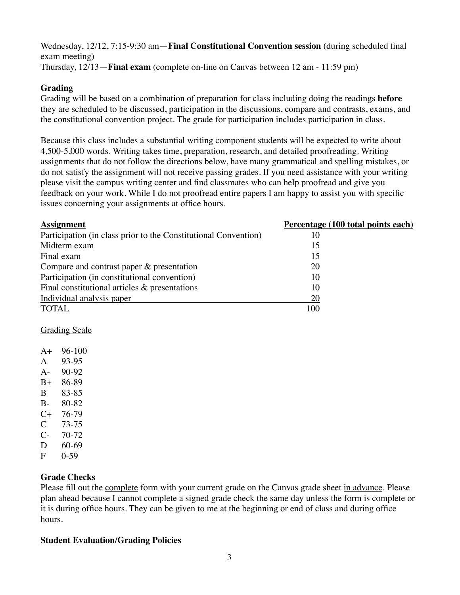Wednesday, 12/12, 7:15-9:30 am—**Final Constitutional Convention session** (during scheduled final exam meeting) Thursday, 12/13—**Final exam** (complete on-line on Canvas between 12 am - 11:59 pm)

### **Grading**

Grading will be based on a combination of preparation for class including doing the readings **before** they are scheduled to be discussed, participation in the discussions, compare and contrasts, exams, and the constitutional convention project. The grade for participation includes participation in class.

Because this class includes a substantial writing component students will be expected to write about 4,500-5,000 words. Writing takes time, preparation, research, and detailed proofreading. Writing assignments that do not follow the directions below, have many grammatical and spelling mistakes, or do not satisfy the assignment will not receive passing grades. If you need assistance with your writing please visit the campus writing center and find classmates who can help proofread and give you feedback on your work. While I do not proofread entire papers I am happy to assist you with specific issues concerning your assignments at office hours.

| 10  |                                    |
|-----|------------------------------------|
| 15  |                                    |
| 15  |                                    |
| 20  |                                    |
| 10  |                                    |
| 10  |                                    |
| 20  |                                    |
| 100 |                                    |
|     | Percentage (100 total points each) |

Grading Scale

- A+ 96-100
- A 93-95
- A- 90-92
- B+ 86-89
- B 83-85
- B- 80-82
- C+ 76-79
- C 73-75
- C- 70-72
- D 60-69
- F 0-59

### **Grade Checks**

Please fill out the complete form with your current grade on the Canvas grade sheet in advance. Please plan ahead because I cannot complete a signed grade check the same day unless the form is complete or it is during office hours. They can be given to me at the beginning or end of class and during office hours.

### **Student Evaluation/Grading Policies**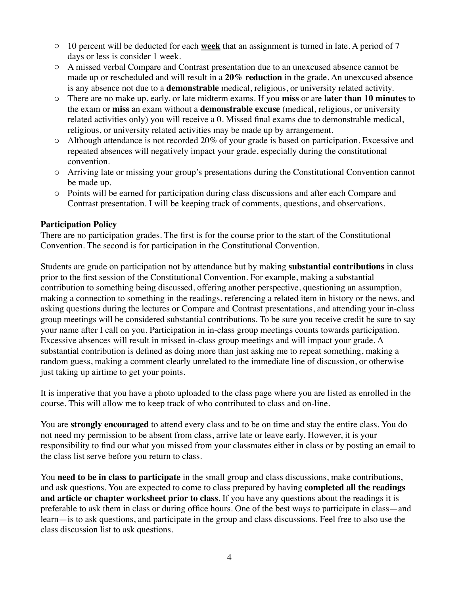- o 10 percent will be deducted for each **week** that an assignment is turned in late. A period of 7 days or less is consider 1 week.
- o A missed verbal Compare and Contrast presentation due to an unexcused absence cannot be made up or rescheduled and will result in a **20% reduction** in the grade. An unexcused absence is any absence not due to a **demonstrable** medical, religious, or university related activity.
- o There are no make up, early, or late midterm exams. If you **miss** or are **later than 10 minutes** to the exam or **miss** an exam without a **demonstrable excuse** (medical, religious, or university related activities only) you will receive a 0. Missed final exams due to demonstrable medical, religious, or university related activities may be made up by arrangement.
- o Although attendance is not recorded 20% of your grade is based on participation. Excessive and repeated absences will negatively impact your grade, especially during the constitutional convention.
- o Arriving late or missing your group's presentations during the Constitutional Convention cannot be made up.
- o Points will be earned for participation during class discussions and after each Compare and Contrast presentation. I will be keeping track of comments, questions, and observations.

### **Participation Policy**

There are no participation grades. The first is for the course prior to the start of the Constitutional Convention. The second is for participation in the Constitutional Convention.

Students are grade on participation not by attendance but by making **substantial contributions** in class prior to the first session of the Constitutional Convention. For example, making a substantial contribution to something being discussed, offering another perspective, questioning an assumption, making a connection to something in the readings, referencing a related item in history or the news, and asking questions during the lectures or Compare and Contrast presentations, and attending your in-class group meetings will be considered substantial contributions. To be sure you receive credit be sure to say your name after I call on you. Participation in in-class group meetings counts towards participation. Excessive absences will result in missed in-class group meetings and will impact your grade. A substantial contribution is defined as doing more than just asking me to repeat something, making a random guess, making a comment clearly unrelated to the immediate line of discussion, or otherwise just taking up airtime to get your points.

It is imperative that you have a photo uploaded to the class page where you are listed as enrolled in the course. This will allow me to keep track of who contributed to class and on-line.

You are **strongly encouraged** to attend every class and to be on time and stay the entire class. You do not need my permission to be absent from class, arrive late or leave early. However, it is your responsibility to find our what you missed from your classmates either in class or by posting an email to the class list serve before you return to class.

You **need to be in class to participate** in the small group and class discussions, make contributions, and ask questions. You are expected to come to class prepared by having **completed all the readings and article or chapter worksheet prior to class**. If you have any questions about the readings it is preferable to ask them in class or during office hours. One of the best ways to participate in class—and learn—is to ask questions, and participate in the group and class discussions. Feel free to also use the class discussion list to ask questions.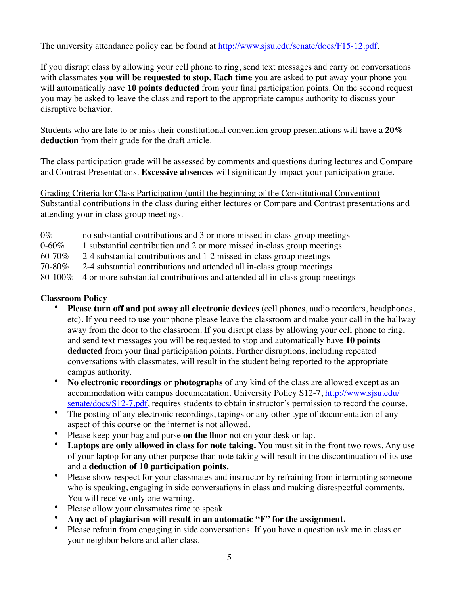The university attendance policy can be found at <http://www.sjsu.edu/senate/docs/F15-12.pdf>.

If you disrupt class by allowing your cell phone to ring, send text messages and carry on conversations with classmates **you will be requested to stop. Each time** you are asked to put away your phone you will automatically have **10 points deducted** from your final participation points. On the second request you may be asked to leave the class and report to the appropriate campus authority to discuss your disruptive behavior.

Students who are late to or miss their constitutional convention group presentations will have a **20% deduction** from their grade for the draft article.

The class participation grade will be assessed by comments and questions during lectures and Compare and Contrast Presentations. **Excessive absences** will significantly impact your participation grade.

Grading Criteria for Class Participation (until the beginning of the Constitutional Convention) Substantial contributions in the class during either lectures or Compare and Contrast presentations and attending your in-class group meetings.

0% no substantial contributions and 3 or more missed in-class group meetings

0-60% 1 substantial contribution and 2 or more missed in-class group meetings

60-70% 2-4 substantial contributions and 1-2 missed in-class group meetings

70-80% 2-4 substantial contributions and attended all in-class group meetings

80-100% 4 or more substantial contributions and attended all in-class group meetings

### **Classroom Policy**

- **Please turn off and put away all electronic devices** (cell phones, audio recorders, headphones, etc). If you need to use your phone please leave the classroom and make your call in the hallway away from the door to the classroom. If you disrupt class by allowing your cell phone to ring, and send text messages you will be requested to stop and automatically have **10 points deducted** from your final participation points. Further disruptions, including repeated conversations with classmates, will result in the student being reported to the appropriate campus authority.
- **No electronic recordings or photographs** of any kind of the class are allowed except as an [accommodation with campus documentation. University Policy S12-7, http://www.sjsu.edu/](http://www.sjsu.edu/senate/docs/S12-7.pdf) senate/docs/S12-7.pdf, requires students to obtain instructor's permission to record the course.
- The posting of any electronic recordings, tapings or any other type of documentation of any aspect of this course on the internet is not allowed.
- Please keep your bag and purse **on the floor** not on your desk or lap.
- Laptops are only allowed in class for note taking. You must sit in the front two rows. Any use of your laptop for any other purpose than note taking will result in the discontinuation of its use and a **deduction of 10 participation points.**
- Please show respect for your classmates and instructor by refraining from interrupting someone who is speaking, engaging in side conversations in class and making disrespectful comments. You will receive only one warning.
- Please allow your classmates time to speak.
- **Any act of plagiarism will result in an automatic "F" for the assignment.**
- Please refrain from engaging in side conversations. If you have a question ask me in class or your neighbor before and after class.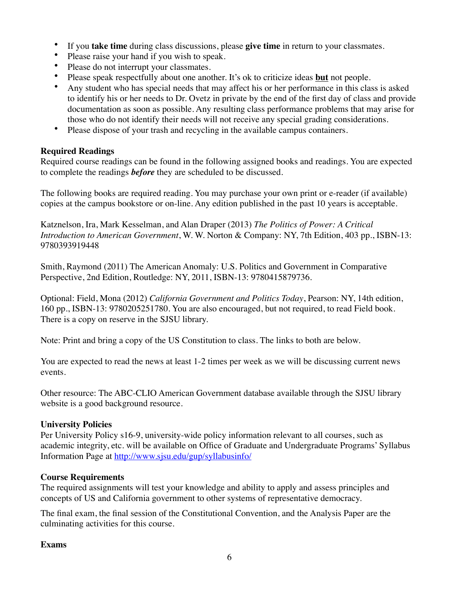- If you **take time** during class discussions, please **give time** in return to your classmates.
- Please raise your hand if you wish to speak.
- Please do not interrupt your classmates.
- Please speak respectfully about one another. It's ok to criticize ideas **but** not people.
- Any student who has special needs that may affect his or her performance in this class is asked to identify his or her needs to Dr. Ovetz in private by the end of the first day of class and provide documentation as soon as possible. Any resulting class performance problems that may arise for those who do not identify their needs will not receive any special grading considerations.
- Please dispose of your trash and recycling in the available campus containers.

### **Required Readings**

Required course readings can be found in the following assigned books and readings. You are expected to complete the readings *before* they are scheduled to be discussed.

The following books are required reading. You may purchase your own print or e-reader (if available) copies at the campus bookstore or on-line. Any edition published in the past 10 years is acceptable.

Katznelson, Ira, Mark Kesselman, and Alan Draper (2013) *The Politics of Power: A Critical Introduction to American Government*, W. W. Norton & Company: NY, 7th Edition, 403 pp., ISBN-13: 9780393919448

Smith, Raymond (2011) The American Anomaly: U.S. Politics and Government in Comparative Perspective, 2nd Edition, Routledge: NY, 2011, ISBN-13: 9780415879736.

Optional: Field, Mona (2012) *California Government and Politics Today*, Pearson: NY, 14th edition, 160 pp., ISBN-13: 9780205251780. You are also encouraged, but not required, to read Field book. There is a copy on reserve in the SJSU library.

Note: Print and bring a copy of the US Constitution to class. The links to both are below.

You are expected to read the news at least 1-2 times per week as we will be discussing current news events.

Other resource: The ABC-CLIO American Government database available through the SJSU library website is a good background resource.

### **University Policies**

Per University Policy s16-9, university-wide policy information relevant to all courses, such as academic integrity, etc. will be available on Office of Graduate and Undergraduate Programs' Syllabus Information Page at<http://www.sjsu.edu/gup/syllabusinfo/>

### **Course Requirements**

The required assignments will test your knowledge and ability to apply and assess principles and concepts of US and California government to other systems of representative democracy.

The final exam, the final session of the Constitutional Convention, and the Analysis Paper are the culminating activities for this course.

### **Exams**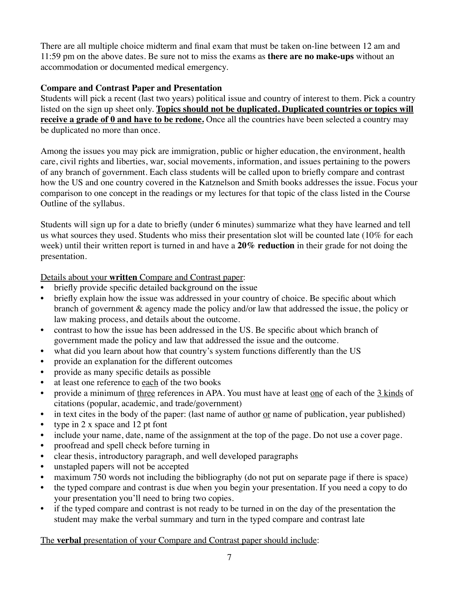There are all multiple choice midterm and final exam that must be taken on-line between 12 am and 11:59 pm on the above dates. Be sure not to miss the exams as **there are no make-ups** without an accommodation or documented medical emergency.

### **Compare and Contrast Paper and Presentation**

Students will pick a recent (last two years) political issue and country of interest to them. Pick a country listed on the sign up sheet only. **Topics should not be duplicated. Duplicated countries or topics will receive a grade of 0 and have to be redone.** Once all the countries have been selected a country may be duplicated no more than once.

Among the issues you may pick are immigration, public or higher education, the environment, health care, civil rights and liberties, war, social movements, information, and issues pertaining to the powers of any branch of government. Each class students will be called upon to briefly compare and contrast how the US and one country covered in the Katznelson and Smith books addresses the issue. Focus your comparison to one concept in the readings or my lectures for that topic of the class listed in the Course Outline of the syllabus.

Students will sign up for a date to briefly (under 6 minutes) summarize what they have learned and tell us what sources they used. Students who miss their presentation slot will be counted late (10% for each week) until their written report is turned in and have a **20% reduction** in their grade for not doing the presentation.

Details about your **written** Compare and Contrast paper:

- briefly provide specific detailed background on the issue
- briefly explain how the issue was addressed in your country of choice. Be specific about which branch of government & agency made the policy and/or law that addressed the issue, the policy or law making process, and details about the outcome.
- contrast to how the issue has been addressed in the US. Be specific about which branch of government made the policy and law that addressed the issue and the outcome.
- what did you learn about how that country's system functions differently than the US
- provide an explanation for the different outcomes
- provide as many specific details as possible
- at least one reference to each of the two books
- provide a minimum of three references in APA. You must have at least one of each of the 3 kinds of citations (popular, academic, and trade/government)
- in text cites in the body of the paper: (last name of author or name of publication, year published)
- type in  $2 \times$  space and  $12$  pt font
- include your name, date, name of the assignment at the top of the page. Do not use a cover page.
- proofread and spell check before turning in
- clear thesis, introductory paragraph, and well developed paragraphs
- unstapled papers will not be accepted
- maximum 750 words not including the bibliography (do not put on separate page if there is space)
- the typed compare and contrast is due when you begin your presentation. If you need a copy to do your presentation you'll need to bring two copies.
- if the typed compare and contrast is not ready to be turned in on the day of the presentation the student may make the verbal summary and turn in the typed compare and contrast late

# The **verbal** presentation of your Compare and Contrast paper should include: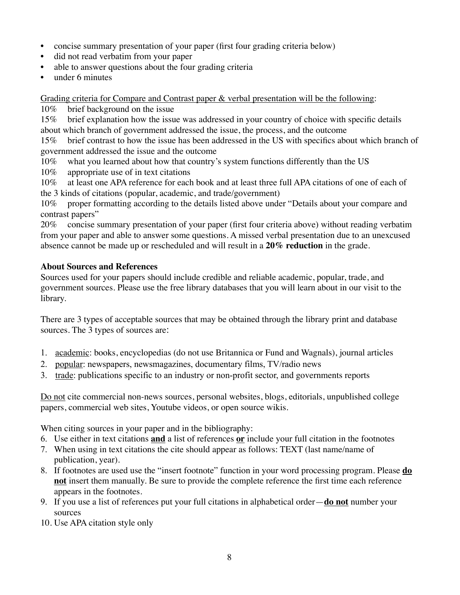- concise summary presentation of your paper (first four grading criteria below)
- did not read verbatim from your paper
- able to answer questions about the four grading criteria
- under 6 minutes

Grading criteria for Compare and Contrast paper & verbal presentation will be the following:

10% brief background on the issue

15% brief explanation how the issue was addressed in your country of choice with specific details about which branch of government addressed the issue, the process, and the outcome

15% brief contrast to how the issue has been addressed in the US with specifics about which branch of government addressed the issue and the outcome

- 10% what you learned about how that country's system functions differently than the US
- 10% appropriate use of in text citations

10% at least one APA reference for each book and at least three full APA citations of one of each of the 3 kinds of citations (popular, academic, and trade/government)

10% proper formatting according to the details listed above under "Details about your compare and contrast papers"

20% concise summary presentation of your paper (first four criteria above) without reading verbatim from your paper and able to answer some questions. A missed verbal presentation due to an unexcused absence cannot be made up or rescheduled and will result in a **20% reduction** in the grade.

# **About Sources and References**

Sources used for your papers should include credible and reliable academic, popular, trade, and government sources. Please use the free library databases that you will learn about in our visit to the library.

There are 3 types of acceptable sources that may be obtained through the library print and database sources. The 3 types of sources are:

- 1. academic: books, encyclopedias (do not use Britannica or Fund and Wagnals), journal articles
- 2. popular: newspapers, newsmagazines, documentary films, TV/radio news
- 3. trade: publications specific to an industry or non-profit sector, and governments reports

Do not cite commercial non-news sources, personal websites, blogs, editorials, unpublished college papers, commercial web sites, Youtube videos, or open source wikis.

When citing sources in your paper and in the bibliography:

- 6. Use either in text citations **and** a list of references **or** include your full citation in the footnotes
- 7. When using in text citations the cite should appear as follows: TEXT (last name/name of publication, year).
- 8. If footnotes are used use the "insert footnote" function in your word processing program. Please **do not** insert them manually. Be sure to provide the complete reference the first time each reference appears in the footnotes.
- 9. If you use a list of references put your full citations in alphabetical order—**do not** number your sources
- 10. Use APA citation style only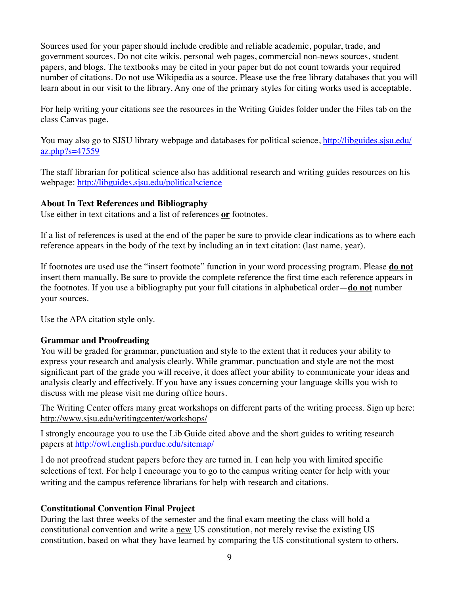Sources used for your paper should include credible and reliable academic, popular, trade, and government sources. Do not cite wikis, personal web pages, commercial non-news sources, student papers, and blogs. The textbooks may be cited in your paper but do not count towards your required number of citations. Do not use Wikipedia as a source. Please use the free library databases that you will learn about in our visit to the library. Any one of the primary styles for citing works used is acceptable.

For help writing your citations see the resources in the Writing Guides folder under the Files tab on the class Canvas page.

[You may also go to SJSU library webpage and databases for political science, http://libguides.sjsu.edu/](http://libguides.sjsu.edu/az.php?s=47559) az.php?s=47559

The staff librarian for political science also has additional research and writing guides resources on his webpage: <http://libguides.sjsu.edu/politicalscience>

### **About In Text References and Bibliography**

Use either in text citations and a list of references **or** footnotes.

If a list of references is used at the end of the paper be sure to provide clear indications as to where each reference appears in the body of the text by including an in text citation: (last name, year).

If footnotes are used use the "insert footnote" function in your word processing program. Please **do not** insert them manually. Be sure to provide the complete reference the first time each reference appears in the footnotes. If you use a bibliography put your full citations in alphabetical order—**do not** number your sources.

Use the APA citation style only.

### **Grammar and Proofreading**

You will be graded for grammar, punctuation and style to the extent that it reduces your ability to express your research and analysis clearly. While grammar, punctuation and style are not the most significant part of the grade you will receive, it does affect your ability to communicate your ideas and analysis clearly and effectively. If you have any issues concerning your language skills you wish to discuss with me please visit me during office hours.

The Writing Center offers many great workshops on different parts of the writing process. Sign up here: <http://www.sjsu.edu/writingcenter/workshops/>

I strongly encourage you to use the Lib Guide cited above and the short guides to writing research papers at <http://owl.english.purdue.edu/sitemap/>

I do not proofread student papers before they are turned in. I can help you with limited specific selections of text. For help I encourage you to go to the campus writing center for help with your writing and the campus reference librarians for help with research and citations.

### **Constitutional Convention Final Project**

During the last three weeks of the semester and the final exam meeting the class will hold a constitutional convention and write a new US constitution, not merely revise the existing US constitution, based on what they have learned by comparing the US constitutional system to others.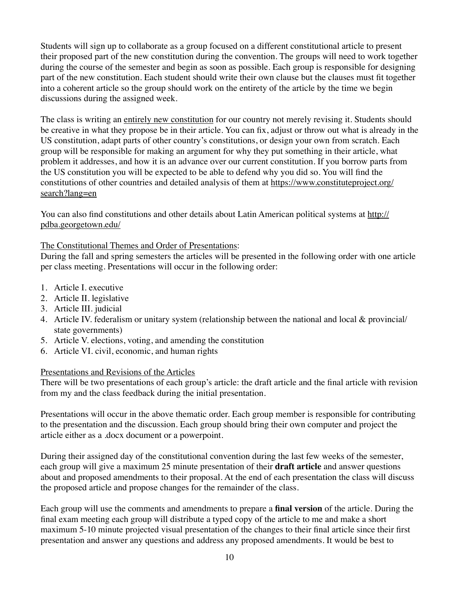Students will sign up to collaborate as a group focused on a different constitutional article to present their proposed part of the new constitution during the convention. The groups will need to work together during the course of the semester and begin as soon as possible. Each group is responsible for designing part of the new constitution. Each student should write their own clause but the clauses must fit together into a coherent article so the group should work on the entirety of the article by the time we begin discussions during the assigned week.

The class is writing an entirely new constitution for our country not merely revising it. Students should be creative in what they propose be in their article. You can fix, adjust or throw out what is already in the US constitution, adapt parts of other country's constitutions, or design your own from scratch. Each group will be responsible for making an argument for why they put something in their article, what problem it addresses, and how it is an advance over our current constitution. If you borrow parts from the US constitution you will be expected to be able to defend why you did so. You will find the [constitutions of other countries and detailed analysis of them at https://www.constituteproject.org/](https://www.constituteproject.org/search?lang=en) search?lang=en

[You can also find constitutions and other details about Latin American political systems at http://](http://pdba.georgetown.edu/) pdba.georgetown.edu/

# The Constitutional Themes and Order of Presentations:

During the fall and spring semesters the articles will be presented in the following order with one article per class meeting. Presentations will occur in the following order:

- 1. Article I. executive
- 2. Article II. legislative
- 3. Article III. judicial
- 4. Article IV. federalism or unitary system (relationship between the national and local & provincial/ state governments)
- 5. Article V. elections, voting, and amending the constitution
- 6. Article VI. civil, economic, and human rights

### Presentations and Revisions of the Articles

There will be two presentations of each group's article: the draft article and the final article with revision from my and the class feedback during the initial presentation.

Presentations will occur in the above thematic order. Each group member is responsible for contributing to the presentation and the discussion. Each group should bring their own computer and project the article either as a .docx document or a powerpoint.

During their assigned day of the constitutional convention during the last few weeks of the semester, each group will give a maximum 25 minute presentation of their **draft article** and answer questions about and proposed amendments to their proposal. At the end of each presentation the class will discuss the proposed article and propose changes for the remainder of the class.

Each group will use the comments and amendments to prepare a **final version** of the article. During the final exam meeting each group will distribute a typed copy of the article to me and make a short maximum 5-10 minute projected visual presentation of the changes to their final article since their first presentation and answer any questions and address any proposed amendments. It would be best to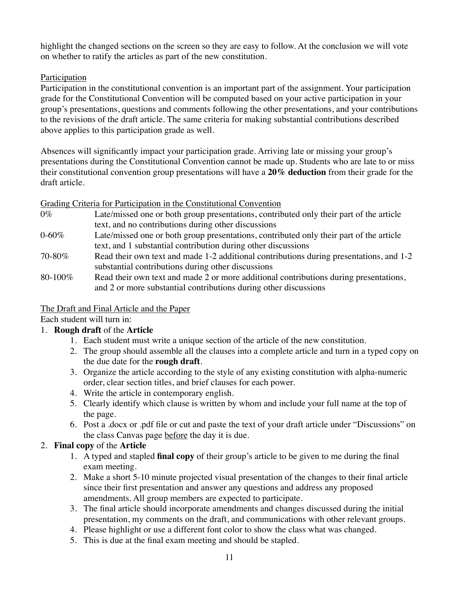highlight the changed sections on the screen so they are easy to follow. At the conclusion we will vote on whether to ratify the articles as part of the new constitution.

### Participation

Participation in the constitutional convention is an important part of the assignment. Your participation grade for the Constitutional Convention will be computed based on your active participation in your group's presentations, questions and comments following the other presentations, and your contributions to the revisions of the draft article. The same criteria for making substantial contributions described above applies to this participation grade as well.

Absences will significantly impact your participation grade. Arriving late or missing your group's presentations during the Constitutional Convention cannot be made up. Students who are late to or miss their constitutional convention group presentations will have a **20% deduction** from their grade for the draft article.

### Grading Criteria for Participation in the Constitutional Convention

- 0% Late/missed one or both group presentations, contributed only their part of the article text, and no contributions during other discussions
- 0-60% Late/missed one or both group presentations, contributed only their part of the article text, and 1 substantial contribution during other discussions
- 70-80% Read their own text and made 1-2 additional contributions during presentations, and 1-2 substantial contributions during other discussions
- 80-100% Read their own text and made 2 or more additional contributions during presentations, and 2 or more substantial contributions during other discussions

# The Draft and Final Article and the Paper

Each student will turn in:

# 1. **Rough draft** of the **Article**

- 1. Each student must write a unique section of the article of the new constitution.
- 2. The group should assemble all the clauses into a complete article and turn in a typed copy on the due date for the **rough draft**.
- 3. Organize the article according to the style of any existing constitution with alpha-numeric order, clear section titles, and brief clauses for each power.
- 4. Write the article in contemporary english.
- 5. Clearly identify which clause is written by whom and include your full name at the top of the page.
- 6. Post a .docx or .pdf file or cut and paste the text of your draft article under "Discussions" on the class Canvas page before the day it is due.

# 2. **Final copy** of the **Article**

- 1. A typed and stapled **final copy** of their group's article to be given to me during the final exam meeting.
- 2. Make a short 5-10 minute projected visual presentation of the changes to their final article since their first presentation and answer any questions and address any proposed amendments. All group members are expected to participate.
- 3. The final article should incorporate amendments and changes discussed during the initial presentation, my comments on the draft, and communications with other relevant groups.
- 4. Please highlight or use a different font color to show the class what was changed.
- 5. This is due at the final exam meeting and should be stapled.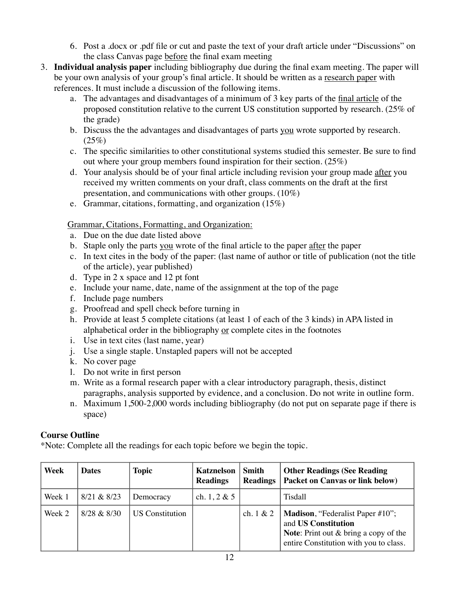- 6. Post a .docx or .pdf file or cut and paste the text of your draft article under "Discussions" on the class Canvas page before the final exam meeting
- 3. **Individual analysis paper** including bibliography due during the final exam meeting. The paper will be your own analysis of your group's final article. It should be written as a research paper with references. It must include a discussion of the following items.
	- a. The advantages and disadvantages of a minimum of 3 key parts of the final article of the proposed constitution relative to the current US constitution supported by research. (25% of the grade)
	- b. Discuss the the advantages and disadvantages of parts you wrote supported by research.  $(25%)$
	- c. The specific similarities to other constitutional systems studied this semester. Be sure to find out where your group members found inspiration for their section. (25%)
	- d. Your analysis should be of your final article including revision your group made after you received my written comments on your draft, class comments on the draft at the first presentation, and communications with other groups. (10%)
	- e. Grammar, citations, formatting, and organization (15%)

Grammar, Citations, Formatting, and Organization:

- a. Due on the due date listed above
- b. Staple only the parts you wrote of the final article to the paper after the paper
- c. In text cites in the body of the paper: (last name of author or title of publication (not the title of the article), year published)
- d. Type in 2 x space and 12 pt font
- e. Include your name, date, name of the assignment at the top of the page
- f. Include page numbers
- g. Proofread and spell check before turning in
- h. Provide at least 5 complete citations (at least 1 of each of the 3 kinds) in APA listed in alphabetical order in the bibliography or complete cites in the footnotes
- i. Use in text cites (last name, year)
- j. Use a single staple. Unstapled papers will not be accepted
- k. No cover page
- l. Do not write in first person
- m. Write as a formal research paper with a clear introductory paragraph, thesis, distinct paragraphs, analysis supported by evidence, and a conclusion. Do not write in outline form.
- n. Maximum 1,500-2,000 words including bibliography (do not put on separate page if there is space)

# **Course Outline**

\*Note: Complete all the readings for each topic before we begin the topic.

| Week   | <b>Dates</b> | Topic                  | <b>Katznelson</b><br><b>Readings</b> | <b>Smith</b><br><b>Readings</b> | <b>Other Readings (See Reading</b><br><b>Packet on Canvas or link below)</b>                                                                                 |
|--------|--------------|------------------------|--------------------------------------|---------------------------------|--------------------------------------------------------------------------------------------------------------------------------------------------------------|
| Week 1 | 8/21 & 8/23  | Democracy              | ch. 1, 2 & 5                         |                                 | Tisdall                                                                                                                                                      |
| Week 2 | 8/28 & 8/30  | <b>US</b> Constitution |                                      | ch. $1 & 2$                     | <b>Madison</b> , "Federalist Paper #10";<br>and US Constitution<br><b>Note:</b> Print out $\&$ bring a copy of the<br>entire Constitution with you to class. |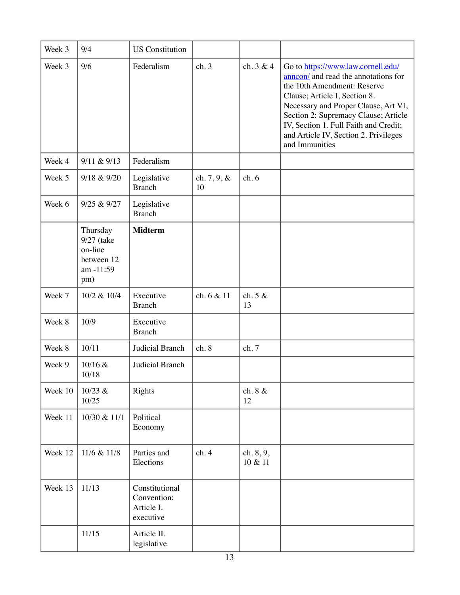| Week 3  | 9/4                                                                 | <b>US</b> Constitution                                   |                      |                      |                                                                                                                                                                                                                                                                                                                               |
|---------|---------------------------------------------------------------------|----------------------------------------------------------|----------------------|----------------------|-------------------------------------------------------------------------------------------------------------------------------------------------------------------------------------------------------------------------------------------------------------------------------------------------------------------------------|
| Week 3  | 9/6                                                                 | Federalism                                               | ch.3                 | ch. 3 & 4            | Go to https://www.law.cornell.edu/<br>annon/ and read the annotations for<br>the 10th Amendment: Reserve<br>Clause; Article I, Section 8.<br>Necessary and Proper Clause, Art VI,<br>Section 2: Supremacy Clause; Article<br>IV, Section 1. Full Faith and Credit;<br>and Article IV, Section 2. Privileges<br>and Immunities |
| Week 4  | 9/11 & 9/13                                                         | Federalism                                               |                      |                      |                                                                                                                                                                                                                                                                                                                               |
| Week 5  | 9/18 & 9/20                                                         | Legislative<br><b>Branch</b>                             | ch. $7, 9, \&$<br>10 | ch.6                 |                                                                                                                                                                                                                                                                                                                               |
| Week 6  | 9/25 & 9/27                                                         | Legislative<br><b>Branch</b>                             |                      |                      |                                                                                                                                                                                                                                                                                                                               |
|         | Thursday<br>9/27 (take<br>on-line<br>between 12<br>am -11:59<br>pm) | <b>Midterm</b>                                           |                      |                      |                                                                                                                                                                                                                                                                                                                               |
| Week 7  | 10/2 & 10/4                                                         | Executive<br><b>Branch</b>                               | ch. 6 & 11           | ch. 5 &<br>13        |                                                                                                                                                                                                                                                                                                                               |
| Week 8  | 10/9                                                                | Executive<br><b>Branch</b>                               |                      |                      |                                                                                                                                                                                                                                                                                                                               |
| Week 8  | 10/11                                                               | Judicial Branch                                          | ch.8                 | ch. 7                |                                                                                                                                                                                                                                                                                                                               |
| Week 9  | 10/16 &<br>10/18                                                    | Judicial Branch                                          |                      |                      |                                                                                                                                                                                                                                                                                                                               |
| Week 10 | 10/23 &<br>10/25                                                    | Rights                                                   |                      | ch. 8 &<br>12        |                                                                                                                                                                                                                                                                                                                               |
| Week 11 | 10/30 & 11/1                                                        | Political<br>Economy                                     |                      |                      |                                                                                                                                                                                                                                                                                                                               |
| Week 12 | 11/6 & 11/8                                                         | Parties and<br>Elections                                 | ch.4                 | ch. 8, 9,<br>10 & 11 |                                                                                                                                                                                                                                                                                                                               |
| Week 13 | 11/13                                                               | Constitutional<br>Convention:<br>Article I.<br>executive |                      |                      |                                                                                                                                                                                                                                                                                                                               |
|         | 11/15                                                               | Article II.<br>legislative                               |                      |                      |                                                                                                                                                                                                                                                                                                                               |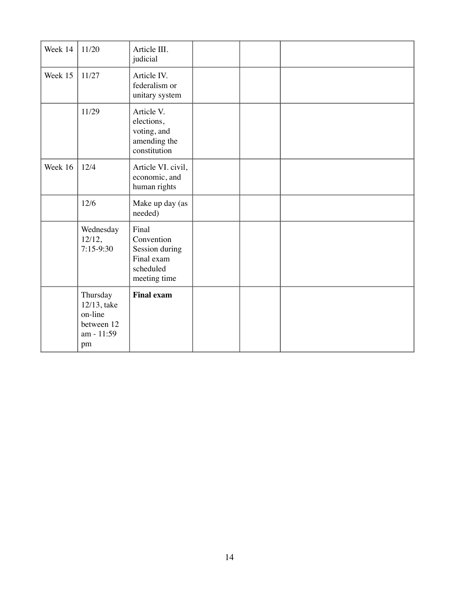| Week 14 | 11/20                                                                | Article III.<br>judicial                                                         |  |  |
|---------|----------------------------------------------------------------------|----------------------------------------------------------------------------------|--|--|
| Week 15 | 11/27                                                                | Article IV.<br>federalism or<br>unitary system                                   |  |  |
|         | 11/29                                                                | Article V.<br>elections,<br>voting, and<br>amending the<br>constitution          |  |  |
| Week 16 | 12/4                                                                 | Article VI. civil,<br>economic, and<br>human rights                              |  |  |
|         | 12/6                                                                 | Make up day (as<br>needed)                                                       |  |  |
|         | Wednesday<br>12/12,<br>$7:15-9:30$                                   | Final<br>Convention<br>Session during<br>Final exam<br>scheduled<br>meeting time |  |  |
|         | Thursday<br>12/13, take<br>on-line<br>between 12<br>am - 11:59<br>pm | <b>Final exam</b>                                                                |  |  |